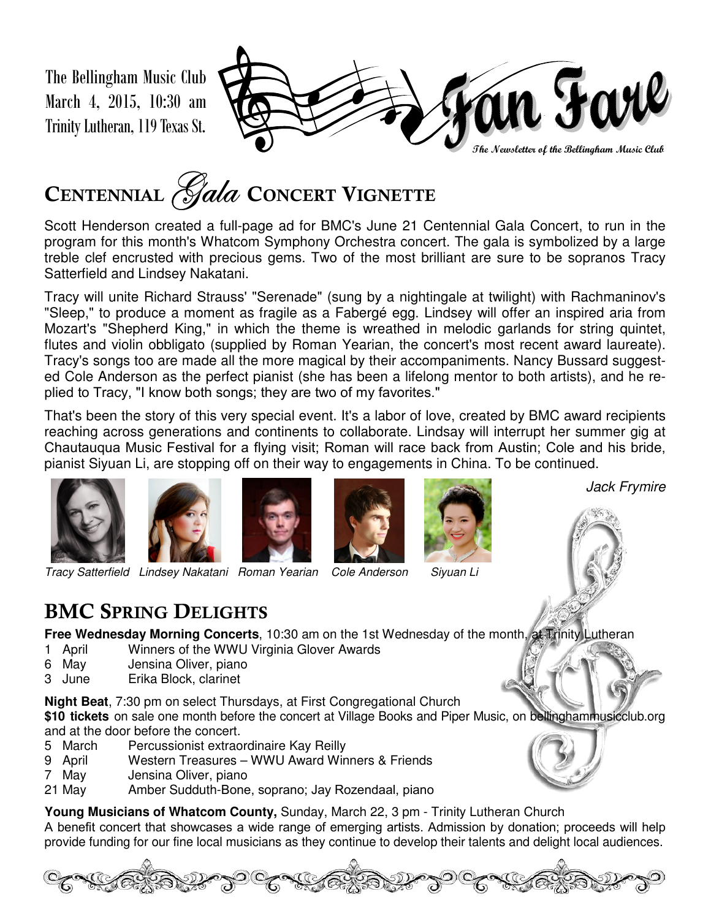The Bellingham Music Club March 4, 2015, 10:30 am Trinity Lutheran, 119 Texas St.



# **<sup>C</sup>ENTENNIAL**ZtÄt **<sup>C</sup>ONCERT VIGNETTE**

Scott Henderson created a full-page ad for BMC's June 21 Centennial Gala Concert, to run in the program for this month's Whatcom Symphony Orchestra concert. The gala is symbolized by a large treble clef encrusted with precious gems. Two of the most brilliant are sure to be sopranos Tracy Satterfield and Lindsey Nakatani.

Tracy will unite Richard Strauss' "Serenade" (sung by a nightingale at twilight) with Rachmaninov's "Sleep," to produce a moment as fragile as a Fabergé egg. Lindsey will offer an inspired aria from Mozart's "Shepherd King," in which the theme is wreathed in melodic garlands for string quintet, flutes and violin obbligato (supplied by Roman Yearian, the concert's most recent award laureate). Tracy's songs too are made all the more magical by their accompaniments. Nancy Bussard suggested Cole Anderson as the perfect pianist (she has been a lifelong mentor to both artists), and he replied to Tracy, "I know both songs; they are two of my favorites."

That's been the story of this very special event. It's a labor of love, created by BMC award recipients reaching across generations and continents to collaborate. Lindsay will interrupt her summer gig at Chautauqua Music Festival for a flying visit; Roman will race back from Austin; Cole and his bride, pianist Siyuan Li, are stopping off on their way to engagements in China. To be continued.











## **BMC SPRING DELIGHTS**

**Free Wednesday Morning Concerts**, 10:30 am on the 1st Wednesday of the month, at Trinity Lutheran

- 1 April Winners of the WWU Virginia Glover Awards
- 6 May Jensina Oliver, piano
- 3 June Erika Block, clarinet

**Night Beat**, 7:30 pm on select Thursdays, at First Congregational Church

**\$10 tickets** on sale one month before the concert at Village Books and Piper Music, on bellinghammusicclub.org and at the door before the concert.

- 5 March Percussionist extraordinaire Kay Reilly
- 9 April Western Treasures WWU Award Winners & Friends
- 7 May Jensina Oliver, piano
- 21 May Amber Sudduth-Bone, soprano; Jay Rozendaal, piano

**Young Musicians of Whatcom County,** Sunday, March 22, 3 pm - Trinity Lutheran Church

A benefit concert that showcases a wide range of emerging artists. Admission by donation; proceeds will help provide funding for our fine local musicians as they continue to develop their talents and delight local audiences.





Jack Frymire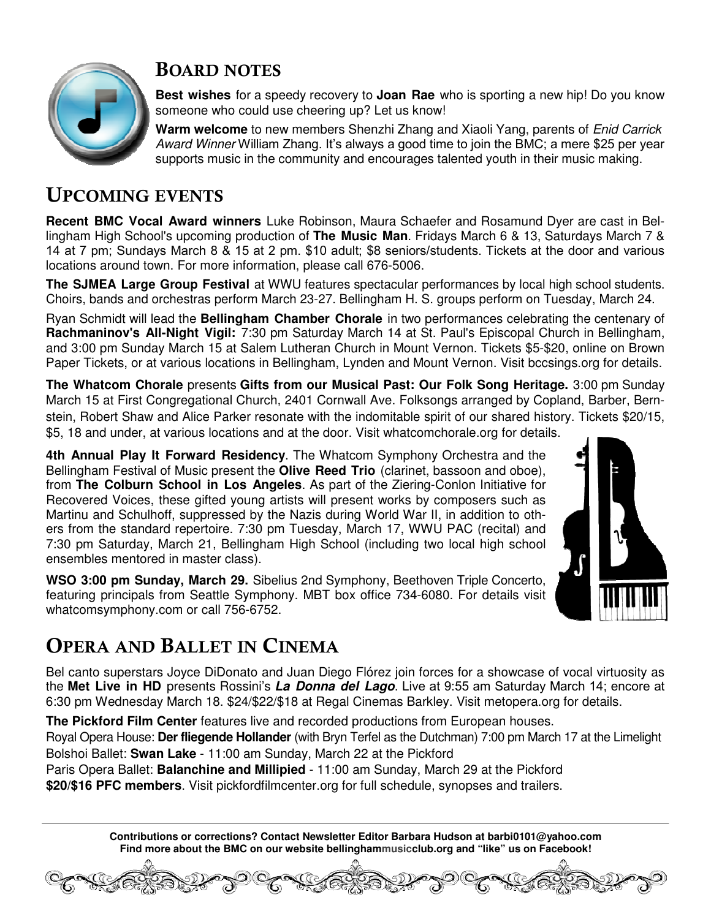

#### **BOARD NOTES**

**Best wishes** for a speedy recovery to **Joan Rae** who is sporting a new hip! Do you know someone who could use cheering up? Let us know!

**Warm welcome** to new members Shenzhi Zhang and Xiaoli Yang, parents of Enid Carrick Award Winner William Zhang. It's always a good time to join the BMC; a mere \$25 per year supports music in the community and encourages talented youth in their music making.

### **UPCOMING EVENTS**

**Recent BMC Vocal Award winners** Luke Robinson, Maura Schaefer and Rosamund Dyer are cast in Bellingham High School's upcoming production of **The Music Man**. Fridays March 6 & 13, Saturdays March 7 & 14 at 7 pm; Sundays March 8 & 15 at 2 pm. \$10 adult; \$8 seniors/students. Tickets at the door and various locations around town. For more information, please call 676-5006.

**The SJMEA Large Group Festival** at WWU features spectacular performances by local high school students. Choirs, bands and orchestras perform March 23-27. Bellingham H. S. groups perform on Tuesday, March 24.

Ryan Schmidt will lead the **Bellingham Chamber Chorale** in two performances celebrating the centenary of **Rachmaninov's All-Night Vigil:** 7:30 pm Saturday March 14 at St. Paul's Episcopal Church in Bellingham, and 3:00 pm Sunday March 15 at Salem Lutheran Church in Mount Vernon. Tickets \$5-\$20, online on Brown Paper Tickets, or at various locations in Bellingham, Lynden and Mount Vernon. Visit bccsings.org for details.

**The Whatcom Chorale** presents **Gifts from our Musical Past: Our Folk Song Heritage.** 3:00 pm Sunday March 15 at First Congregational Church, 2401 Cornwall Ave. Folksongs arranged by Copland, Barber, Bernstein, Robert Shaw and Alice Parker resonate with the indomitable spirit of our shared history. Tickets \$20/15, \$5, 18 and under, at various locations and at the door. Visit whatcomchorale.org for details.

**4th Annual Play It Forward Residency**. The Whatcom Symphony Orchestra and the Bellingham Festival of Music present the **Olive Reed Trio** (clarinet, bassoon and oboe), from **The Colburn School in Los Angeles**. As part of the Ziering-Conlon Initiative for Recovered Voices, these gifted young artists will present works by composers such as Martinu and Schulhoff, suppressed by the Nazis during World War II, in addition to others from the standard repertoire. 7:30 pm Tuesday, March 17, WWU PAC (recital) and 7:30 pm Saturday, March 21, Bellingham High School (including two local high school ensembles mentored in master class).

**WSO 3:00 pm Sunday, March 29.** Sibelius 2nd Symphony, Beethoven Triple Concerto, featuring principals from Seattle Symphony. MBT box office 734-6080. For details visit whatcomsymphony.com or call 756-6752.

## **OPERA AND BALLET IN CINEMA**

Bel canto superstars Joyce DiDonato and Juan Diego Flórez join forces for a showcase of vocal virtuosity as the **Met Live in HD** presents Rossini's **La Donna del Lago**. Live at 9:55 am Saturday March 14; encore at 6:30 pm Wednesday March 18. \$24/\$22/\$18 at Regal Cinemas Barkley. Visit metopera.org for details.

**The Pickford Film Center** features live and recorded productions from European houses.

Royal Opera House: **Der fliegende Hollander** (with Bryn Terfel as the Dutchman) 7:00 pm March 17 at the Limelight Bolshoi Ballet: **Swan Lake** - 11:00 am Sunday, March 22 at the Pickford

Paris Opera Ballet: **Balanchine and Millipied** - 11:00 am Sunday, March 29 at the Pickford

**\$20/\$16 PFC members**. Visit pickfordfilmcenter.org for full schedule, synopses and trailers.

**Contributions or corrections? Contact Newsletter Editor Barbara Hudson at barbi0101@yahoo.com Find more about the BMC on our website bellinghammusicclub.org and "like" us on Facebook!**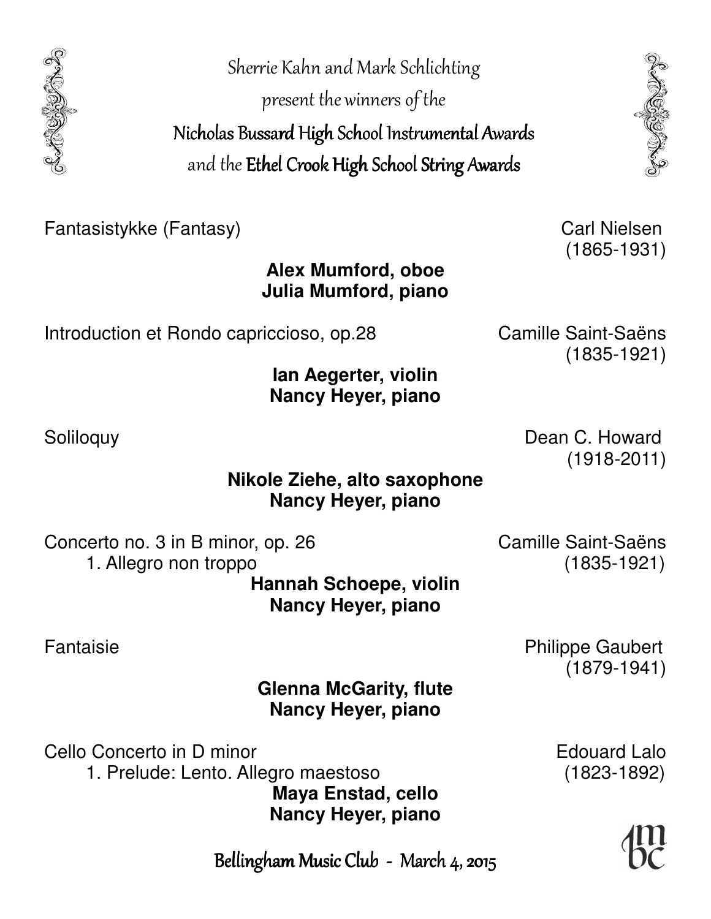Sherie Kahn and Mark Schlichting present the winners of the Nicholas Bussard High School Instrumental Awards and the Ethel Crook High School String Awards

Fantasistykke (Fantasy) Carl Nielsen

**Alex Mumford, oboe Julia Mumford, piano** 

Introduction et Rondo capriccioso, op.28 Camille Saint-Saëns

**Ian Aegerter, violin Nancy Heyer, piano** 

**Nikole Ziehe, alto saxophone Nancy Heyer, piano** 

Concerto no. 3 in B minor, op. 26 Camille Saint-Saëns 1. Allegro non troppo (1835-1921) **Hannah Schoepe, violin Nancy Heyer, piano** 

(1879-1941)

**Glenna McGarity, flute Nancy Heyer, piano** 

Cello Concerto in D minor **Edouard Lalo**  1. Prelude: Lento. Allegro maestoso (1823-1892) **Maya Enstad, cello Nancy Heyer, piano** 

Bellingham Music Club - March 4, 2015

(1865-1931)

(1835-1921)

Soliloquy **Dean C. Howard** (1918-2011)

Fantaisie **Philippe Gaubert**